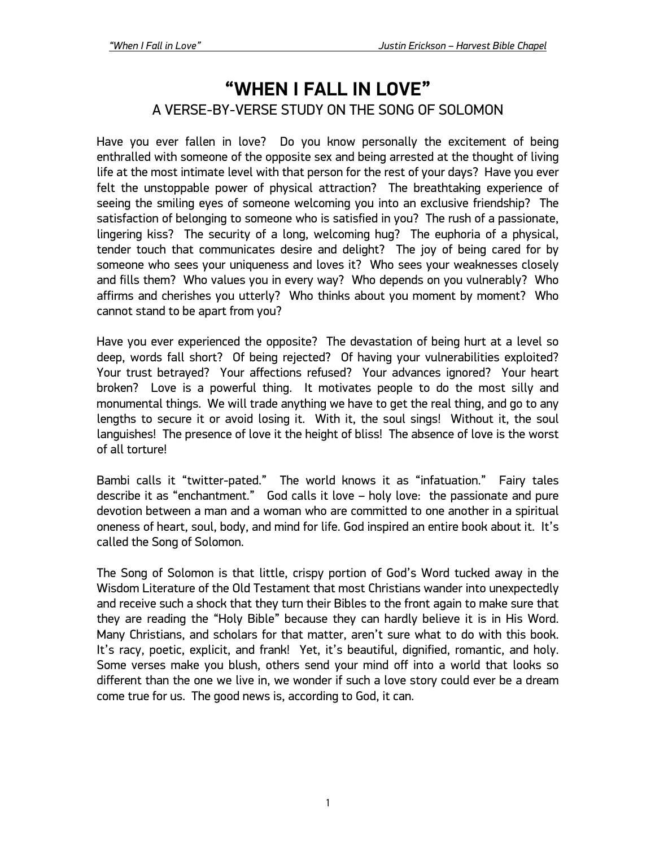# **"WHEN I FALL IN LOVE"** A VERSE-BY-VERSE STUDY ON THE SONG OF SOLOMON

Have you ever fallen in love? Do you know personally the excitement of being enthralled with someone of the opposite sex and being arrested at the thought of living life at the most intimate level with that person for the rest of your days? Have you ever felt the unstoppable power of physical attraction? The breathtaking experience of seeing the smiling eyes of someone welcoming you into an exclusive friendship? The satisfaction of belonging to someone who is satisfied in you? The rush of a passionate, lingering kiss? The security of a long, welcoming hug? The euphoria of a physical, tender touch that communicates desire and delight? The joy of being cared for by someone who sees your uniqueness and loves it? Who sees your weaknesses closely and fills them? Who values you in every way? Who depends on you vulnerably? Who affirms and cherishes you utterly? Who thinks about you moment by moment? Who cannot stand to be apart from you?

Have you ever experienced the opposite? The devastation of being hurt at a level so deep, words fall short? Of being rejected? Of having your vulnerabilities exploited? Your trust betrayed? Your affections refused? Your advances ignored? Your heart broken? Love is a powerful thing. It motivates people to do the most silly and monumental things. We will trade anything we have to get the real thing, and go to any lengths to secure it or avoid losing it. With it, the soul sings! Without it, the soul languishes! The presence of love it the height of bliss! The absence of love is the worst of all torture!

Bambi calls it "twitter-pated." The world knows it as "infatuation." Fairy tales describe it as "enchantment." God calls it love – holy love: the passionate and pure devotion between a man and a woman who are committed to one another in a spiritual oneness of heart, soul, body, and mind for life. God inspired an entire book about it. It's called the Song of Solomon.

The Song of Solomon is that little, crispy portion of God's Word tucked away in the Wisdom Literature of the Old Testament that most Christians wander into unexpectedly and receive such a shock that they turn their Bibles to the front again to make sure that they are reading the "Holy Bible" because they can hardly believe it is in His Word. Many Christians, and scholars for that matter, aren't sure what to do with this book. It's racy, poetic, explicit, and frank! Yet, it's beautiful, dignified, romantic, and holy. Some verses make you blush, others send your mind off into a world that looks so different than the one we live in, we wonder if such a love story could ever be a dream come true for us. The good news is, according to God, it can.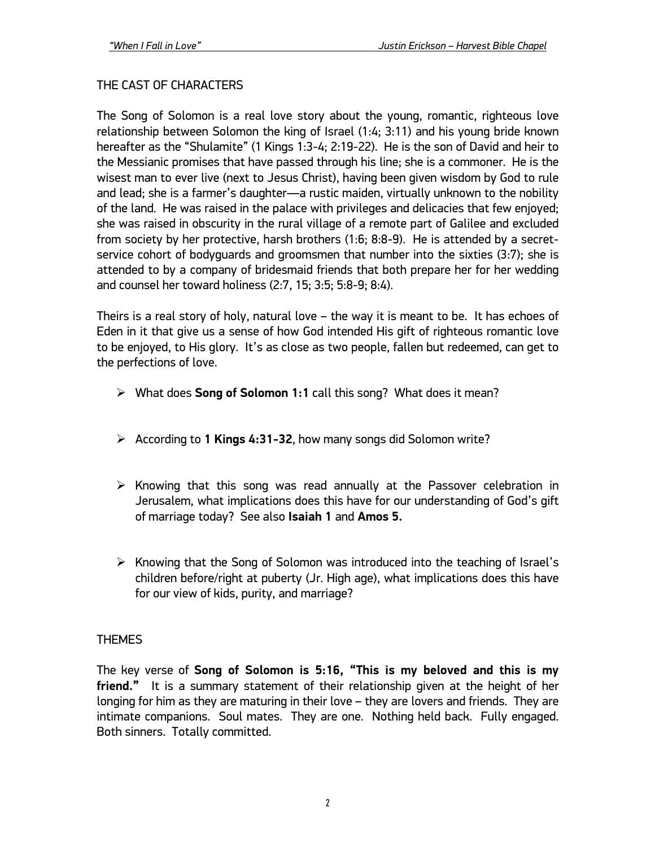## THE CAST OF CHARACTERS

The Song of Solomon is a real love story about the young, romantic, righteous love relationship between Solomon the king of Israel (1:4; 3:11) and his young bride known hereafter as the "Shulamite" (1 Kings 1:3-4; 2:19-22). He is the son of David and heir to the Messianic promises that have passed through his line; she is a commoner. He is the wisest man to ever live (next to Jesus Christ), having been given wisdom by God to rule and lead; she is a farmer's daughter—a rustic maiden, virtually unknown to the nobility of the land. He was raised in the palace with privileges and delicacies that few enjoyed; she was raised in obscurity in the rural village of a remote part of Galilee and excluded from society by her protective, harsh brothers (1:6; 8:8-9). He is attended by a secretservice cohort of bodyguards and groomsmen that number into the sixties (3:7); she is attended to by a company of bridesmaid friends that both prepare her for her wedding and counsel her toward holiness (2:7, 15; 3:5; 5:8-9; 8:4).

Theirs is a real story of holy, natural love – the way it is meant to be. It has echoes of Eden in it that give us a sense of how God intended His gift of righteous romantic love to be enjoyed, to His glory. It's as close as two people, fallen but redeemed, can get to the perfections of love.

- Ø What does **Song of Solomon 1:1** call this song? What does it mean?
- Ø According to **1 Kings 4:31-32**, how many songs did Solomon write?
- $\triangleright$  Knowing that this song was read annually at the Passover celebration in Jerusalem, what implications does this have for our understanding of God's gift of marriage today? See also **Isaiah 1** and **Amos 5.**
- $\triangleright$  Knowing that the Song of Solomon was introduced into the teaching of Israel's children before/right at puberty (Jr. High age), what implications does this have for our view of kids, purity, and marriage?

#### THEMES

The key verse of **Song of Solomon is 5:16, "This is my beloved and this is my friend."** It is a summary statement of their relationship given at the height of her longing for him as they are maturing in their love – they are lovers and friends. They are intimate companions. Soul mates. They are one. Nothing held back. Fully engaged. Both sinners. Totally committed.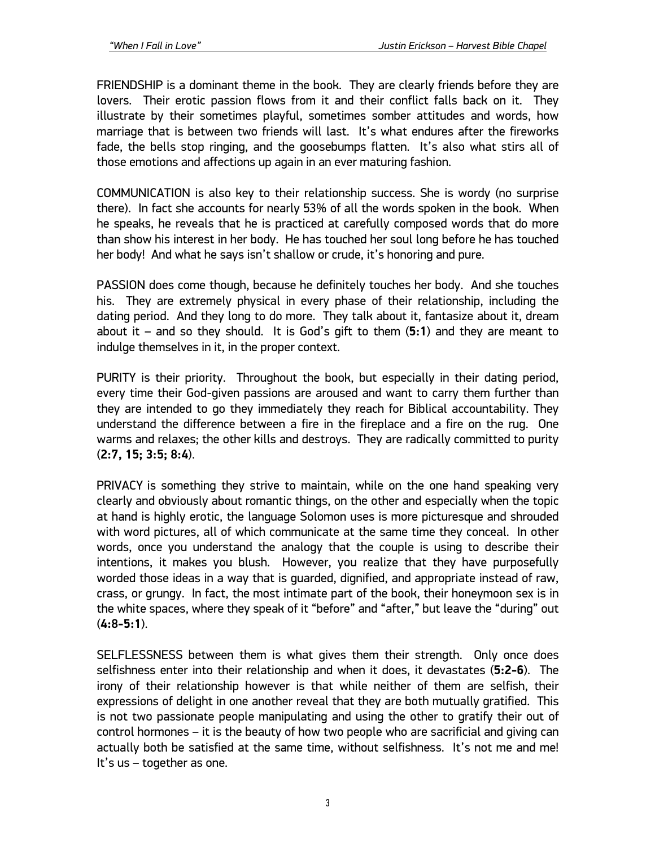FRIENDSHIP is a dominant theme in the book. They are clearly friends before they are lovers. Their erotic passion flows from it and their conflict falls back on it. They illustrate by their sometimes playful, sometimes somber attitudes and words, how marriage that is between two friends will last. It's what endures after the fireworks fade, the bells stop ringing, and the goosebumps flatten. It's also what stirs all of those emotions and affections up again in an ever maturing fashion.

COMMUNICATION is also key to their relationship success. She is wordy (no surprise there). In fact she accounts for nearly 53% of all the words spoken in the book. When he speaks, he reveals that he is practiced at carefully composed words that do more than show his interest in her body. He has touched her soul long before he has touched her body! And what he says isn't shallow or crude, it's honoring and pure.

PASSION does come though, because he definitely touches her body. And she touches his. They are extremely physical in every phase of their relationship, including the dating period. And they long to do more. They talk about it, fantasize about it, dream about it – and so they should. It is God's gift to them (**5:1**) and they are meant to indulge themselves in it, in the proper context.

PURITY is their priority. Throughout the book, but especially in their dating period, every time their God-given passions are aroused and want to carry them further than they are intended to go they immediately they reach for Biblical accountability. They understand the difference between a fire in the fireplace and a fire on the rug. One warms and relaxes; the other kills and destroys. They are radically committed to purity (**2:7, 15; 3:5; 8:4**).

PRIVACY is something they strive to maintain, while on the one hand speaking very clearly and obviously about romantic things, on the other and especially when the topic at hand is highly erotic, the language Solomon uses is more picturesque and shrouded with word pictures, all of which communicate at the same time they conceal. In other words, once you understand the analogy that the couple is using to describe their intentions, it makes you blush. However, you realize that they have purposefully worded those ideas in a way that is guarded, dignified, and appropriate instead of raw, crass, or grungy. In fact, the most intimate part of the book, their honeymoon sex is in the white spaces, where they speak of it "before" and "after," but leave the "during" out (**4:8-5:1**).

SELFLESSNESS between them is what gives them their strength. Only once does selfishness enter into their relationship and when it does, it devastates (**5:2-6**). The irony of their relationship however is that while neither of them are selfish, their expressions of delight in one another reveal that they are both mutually gratified. This is not two passionate people manipulating and using the other to gratify their out of control hormones – it is the beauty of how two people who are sacrificial and giving can actually both be satisfied at the same time, without selfishness. It's not me and me! It's us – together as one.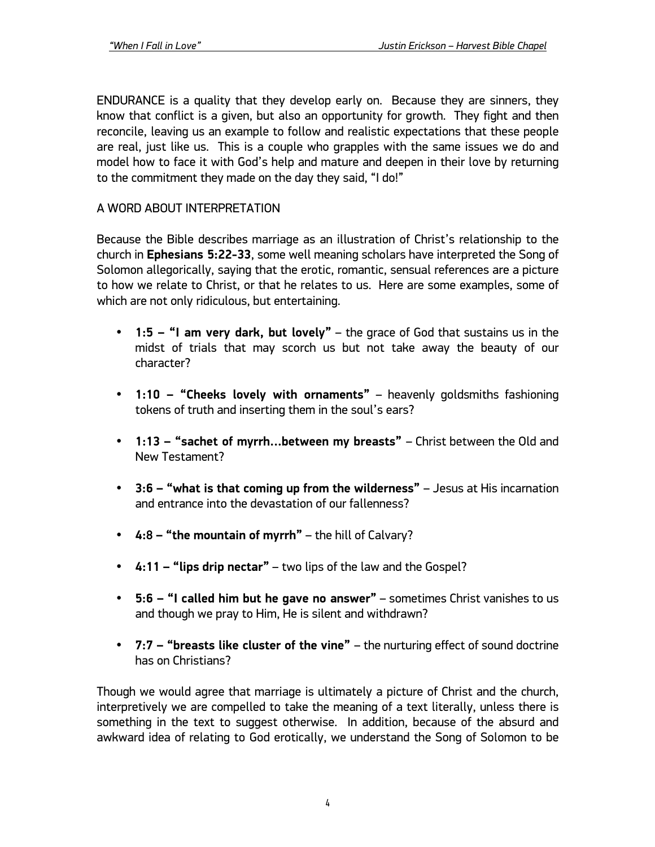ENDURANCE is a quality that they develop early on. Because they are sinners, they know that conflict is a given, but also an opportunity for growth. They fight and then reconcile, leaving us an example to follow and realistic expectations that these people are real, just like us. This is a couple who grapples with the same issues we do and model how to face it with God's help and mature and deepen in their love by returning to the commitment they made on the day they said, "I do!"

#### A WORD ABOUT INTERPRETATION

Because the Bible describes marriage as an illustration of Christ's relationship to the church in **Ephesians 5:22-33**, some well meaning scholars have interpreted the Song of Solomon allegorically, saying that the erotic, romantic, sensual references are a picture to how we relate to Christ, or that he relates to us. Here are some examples, some of which are not only ridiculous, but entertaining.

- **1:5 – "I am very dark, but lovely"** the grace of God that sustains us in the midst of trials that may scorch us but not take away the beauty of our character?
- **1:10 – "Cheeks lovely with ornaments"** heavenly goldsmiths fashioning tokens of truth and inserting them in the soul's ears?
- **1:13 – "sachet of myrrh…between my breasts"**  Christ between the Old and New Testament?
- **3:6 – "what is that coming up from the wilderness"**  Jesus at His incarnation and entrance into the devastation of our fallenness?
- **4:8 – "the mountain of myrrh"** the hill of Calvary?
- **4:11 – "lips drip nectar"** two lips of the law and the Gospel?
- **5:6 – "I called him but he gave no answer"** sometimes Christ vanishes to us and though we pray to Him, He is silent and withdrawn?
- **7:7 – "breasts like cluster of the vine"**  the nurturing effect of sound doctrine has on Christians?

Though we would agree that marriage is ultimately a picture of Christ and the church, interpretively we are compelled to take the meaning of a text literally, unless there is something in the text to suggest otherwise. In addition, because of the absurd and awkward idea of relating to God erotically, we understand the Song of Solomon to be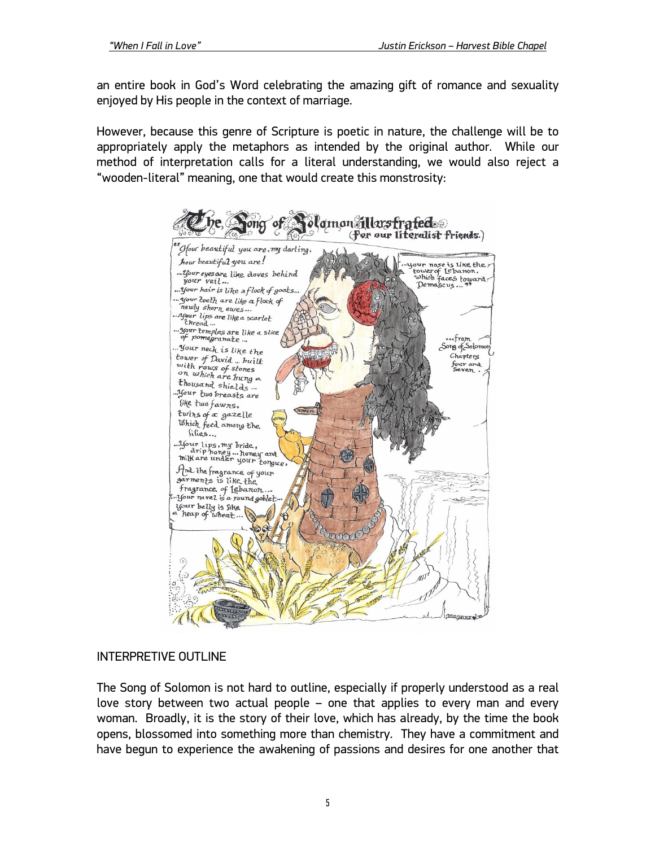an entire book in God's Word celebrating the amazing gift of romance and sexuality enjoyed by His people in the context of marriage.

However, because this genre of Scripture is poetic in nature, the challenge will be to appropriately apply the metaphors as intended by the original author. While our method of interpretation calls for a literal understanding, we would also reject a "wooden-literal" meaning, one that would create this monstrosity:



#### INTERPRETIVE OUTLINE

The Song of Solomon is not hard to outline, especially if properly understood as a real love story between two actual people – one that applies to every man and every woman. Broadly, it is the story of their love, which has already, by the time the book opens, blossomed into something more than chemistry. They have a commitment and have begun to experience the awakening of passions and desires for one another that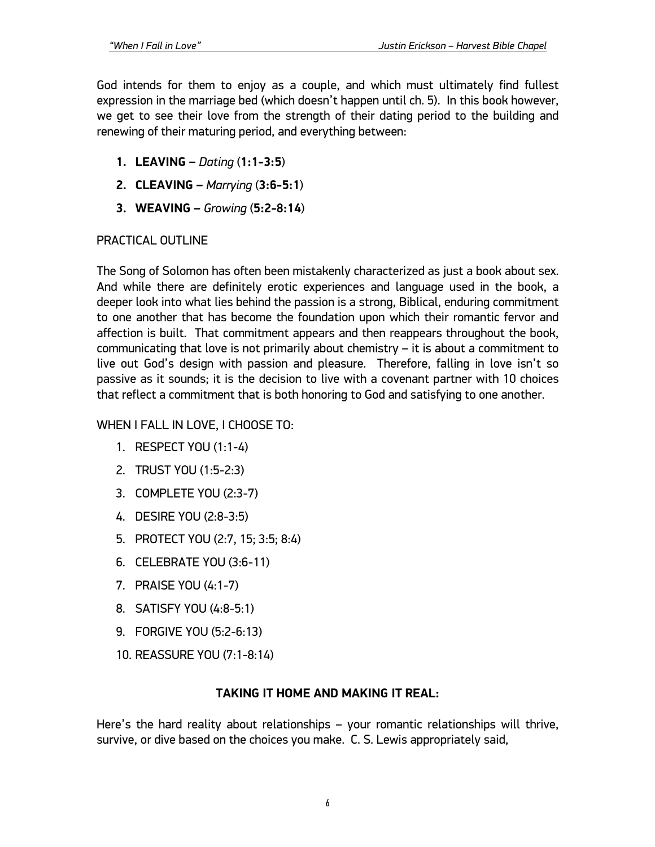God intends for them to enjoy as a couple, and which must ultimately find fullest expression in the marriage bed (which doesn't happen until ch. 5). In this book however, we get to see their love from the strength of their dating period to the building and renewing of their maturing period, and everything between:

- **1. LEAVING –** *Dating* (**1:1-3:5**)
- **2. CLEAVING –** *Marrying* (**3:6-5:1**)
- **3. WEAVING –** *Growing* (**5:2-8:14**)

### PRACTICAL OUTLINE

The Song of Solomon has often been mistakenly characterized as just a book about sex. And while there are definitely erotic experiences and language used in the book, a deeper look into what lies behind the passion is a strong, Biblical, enduring commitment to one another that has become the foundation upon which their romantic fervor and affection is built. That commitment appears and then reappears throughout the book, communicating that love is not primarily about chemistry – it is about a commitment to live out God's design with passion and pleasure. Therefore, falling in love isn't so passive as it sounds; it is the decision to live with a covenant partner with 10 choices that reflect a commitment that is both honoring to God and satisfying to one another.

## WHEN I FALL IN LOVE, I CHOOSE TO:

- 1. RESPECT YOU (1:1-4)
- 2. TRUST YOU (1:5-2:3)
- 3. COMPLETE YOU (2:3-7)
- 4. DESIRE YOU (2:8-3:5)
- 5. PROTECT YOU (2:7, 15; 3:5; 8:4)
- 6. CELEBRATE YOU (3:6-11)
- 7. PRAISE YOU (4:1-7)
- 8. SATISFY YOU (4:8-5:1)
- 9. FORGIVE YOU (5:2-6:13)
- 10. REASSURE YOU (7:1-8:14)

## **TAKING IT HOME AND MAKING IT REAL:**

Here's the hard reality about relationships – your romantic relationships will thrive, survive, or dive based on the choices you make. C. S. Lewis appropriately said,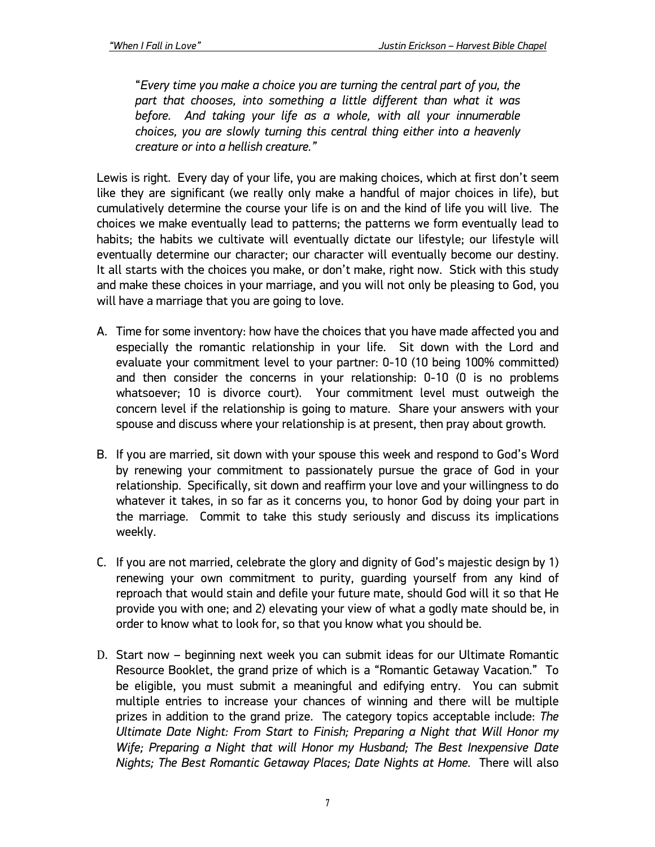"*Every time you make a choice you are turning the central part of you, the part that chooses, into something a little different than what it was before. And taking your life as a whole, with all your innumerable choices, you are slowly turning this central thing either into a heavenly creature or into a hellish creature."*

Lewis is right. Every day of your life, you are making choices, which at first don't seem like they are significant (we really only make a handful of major choices in life), but cumulatively determine the course your life is on and the kind of life you will live. The choices we make eventually lead to patterns; the patterns we form eventually lead to habits; the habits we cultivate will eventually dictate our lifestyle; our lifestyle will eventually determine our character; our character will eventually become our destiny. It all starts with the choices you make, or don't make, right now. Stick with this study and make these choices in your marriage, and you will not only be pleasing to God, you will have a marriage that you are going to love.

- A. Time for some inventory: how have the choices that you have made affected you and especially the romantic relationship in your life. Sit down with the Lord and evaluate your commitment level to your partner: 0-10 (10 being 100% committed) and then consider the concerns in your relationship: 0-10 (0 is no problems whatsoever; 10 is divorce court). Your commitment level must outweigh the concern level if the relationship is going to mature. Share your answers with your spouse and discuss where your relationship is at present, then pray about growth.
- B. If you are married, sit down with your spouse this week and respond to God's Word by renewing your commitment to passionately pursue the grace of God in your relationship. Specifically, sit down and reaffirm your love and your willingness to do whatever it takes, in so far as it concerns you, to honor God by doing your part in the marriage. Commit to take this study seriously and discuss its implications weekly.
- C. If you are not married, celebrate the glory and dignity of God's majestic design by 1) renewing your own commitment to purity, guarding yourself from any kind of reproach that would stain and defile your future mate, should God will it so that He provide you with one; and 2) elevating your view of what a godly mate should be, in order to know what to look for, so that you know what you should be.
- D. Start now beginning next week you can submit ideas for our Ultimate Romantic Resource Booklet, the grand prize of which is a "Romantic Getaway Vacation." To be eligible, you must submit a meaningful and edifying entry. You can submit multiple entries to increase your chances of winning and there will be multiple prizes in addition to the grand prize. The category topics acceptable include: *The Ultimate Date Night: From Start to Finish; Preparing a Night that Will Honor my Wife; Preparing a Night that will Honor my Husband; The Best Inexpensive Date Nights; The Best Romantic Getaway Places; Date Nights at Home.* There will also